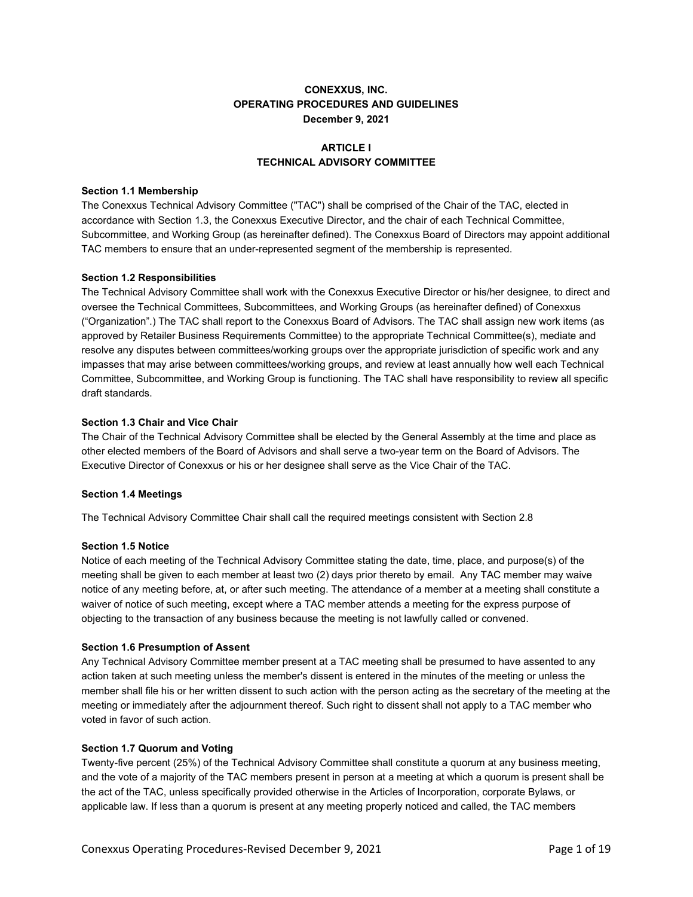# **CONEXXUS, INC. OPERATING PROCEDURES AND GUIDELINES December 9, 2021**

# **ARTICI FI TECHNICAL ADVISORY COMMITTEE**

## **Section 1.1 Membership**

The Conexxus Technical Advisory Committee ("TAC") shall be comprised of the Chair of the TAC, elected in accordance with Section 1.3, the Conexxus Executive Director, and the chair of each Technical Committee, Subcommittee, and Working Group (as hereinafter defined). The Conexxus Board of Directors may appoint additional TAC members to ensure that an under-represented segment of the membership is represented.

## **Section 1.2 Responsibilities**

The Technical Advisory Committee shall work with the Conexxus Executive Director or his/her designee, to direct and oversee the Technical Committees, Subcommittees, and Working Groups (as hereinafter defined) of Conexxus ("Organization".) The TAC shall report to the Conexxus Board of Advisors. The TAC shall assign new work items (as approved by Retailer Business Requirements Committee) to the appropriate Technical Committee(s), mediate and resolve any disputes between committees/working groups over the appropriate jurisdiction of specific work and any impasses that may arise between committees/working groups, and review at least annually how well each Technical Committee, Subcommittee, and Working Group is functioning. The TAC shall have responsibility to review all specific draft standards.

## **Section 1.3 Chair and Vice Chair**

The Chair of the Technical Advisory Committee shall be elected by the General Assembly at the time and place as other elected members of the Board of Advisors and shall serve a two-year term on the Board of Advisors. The Executive Director of Conexxus or his or her designee shall serve as the Vice Chair of the TAC.

## **Section 1.4 Meetings**

The Technical Advisory Committee Chair shall call the required meetings consistent with Section 2.8

## **Section 1.5 Notice**

Notice of each meeting of the Technical Advisory Committee stating the date, time, place, and purpose(s) of the meeting shall be given to each member at least two (2) days prior thereto by email. Any TAC member may waive notice of any meeting before, at, or after such meeting. The attendance of a member at a meeting shall constitute a waiver of notice of such meeting, except where a TAC member attends a meeting for the express purpose of objecting to the transaction of any business because the meeting is not lawfully called or convened.

## **Section 1.6 Presumption of Assent**

Any Technical Advisory Committee member present at a TAC meeting shall be presumed to have assented to any action taken at such meeting unless the member's dissent is entered in the minutes of the meeting or unless the member shall file his or her written dissent to such action with the person acting as the secretary of the meeting at the meeting or immediately after the adjournment thereof. Such right to dissent shall not apply to a TAC member who voted in favor of such action.

## **Section 1.7 Quorum and Voting**

Twenty-five percent (25%) of the Technical Advisory Committee shall constitute a quorum at any business meeting, and the vote of a majority of the TAC members present in person at a meeting at which a quorum is present shall be the act of the TAC, unless specifically provided otherwise in the Articles of Incorporation, corporate Bylaws, or applicable law. If less than a quorum is present at any meeting properly noticed and called, the TAC members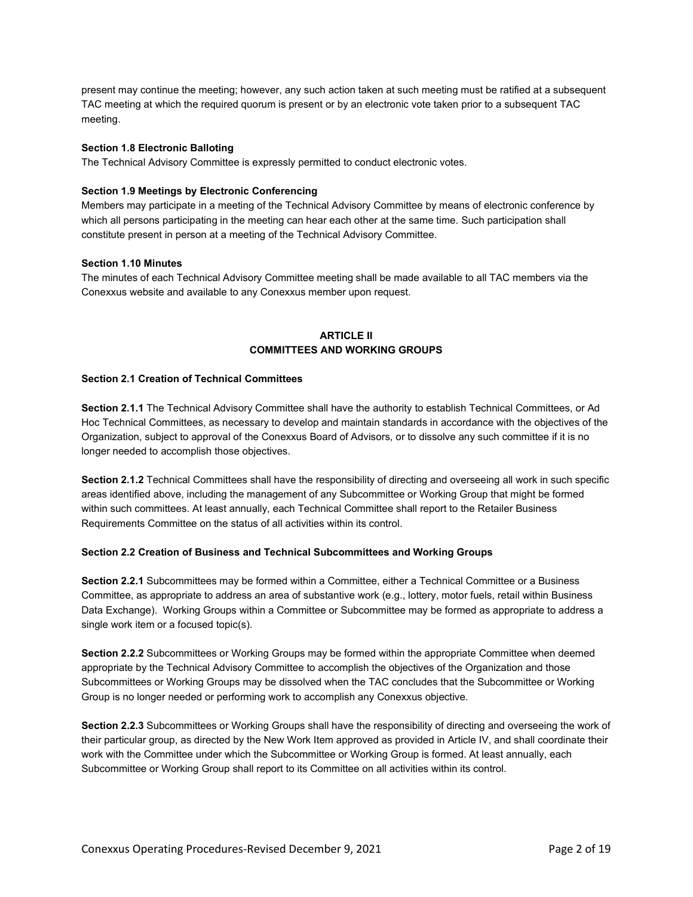present may continue the meeting; however, any such action taken at such meeting must be ratified at a subsequent TAC meeting at which the required quorum is present or by an electronic vote taken prior to a subsequent TAC meeting.

## **Section 1.8 Electronic Balloting**

The Technical Advisory Committee is expressly permitted to conduct electronic votes.

## **Section 1.9 Meetings by Electronic Conferencing**

Members may participate in a meeting of the Technical Advisory Committee by means of electronic conference by which all persons participating in the meeting can hear each other at the same time. Such participation shall constitute present in person at a meeting of the Technical Advisory Committee.

## **Section 1.10 Minutes**

The minutes of each Technical Advisory Committee meeting shall be made available to all TAC members via the Conexxus website and available to any Conexxus member upon request.

# **ARTICLE II COMMITTEES AND WORKING GROUPS**

## **Section 2.1 Creation of Technical Committees**

**Section 2.1.1** The Technical Advisory Committee shall have the authority to establish Technical Committees, or Ad Hoc Technical Committees, as necessary to develop and maintain standards in accordance with the objectives of the Organization, subject to approval of the Conexxus Board of Advisors, or to dissolve any such committee if it is no longer needed to accomplish those objectives.

**Section 2.1.2** Technical Committees shall have the responsibility of directing and overseeing all work in such specific areas identified above, including the management of any Subcommittee or Working Group that might be formed within such committees. At least annually, each Technical Committee shall report to the Retailer Business Requirements Committee on the status of all activities within its control.

## **Section 2.2 Creation of Business and Technical Subcommittees and Working Groups**

**Section 2.2.1** Subcommittees may be formed within a Committee, either a Technical Committee or a Business Committee, as appropriate to address an area of substantive work (e.g., lottery, motor fuels, retail within Business Data Exchange). Working Groups within a Committee or Subcommittee may be formed as appropriate to address a single work item or a focused topic(s).

**Section 2.2.2** Subcommittees or Working Groups may be formed within the appropriate Committee when deemed appropriate by the Technical Advisory Committee to accomplish the objectives of the Organization and those Subcommittees or Working Groups may be dissolved when the TAC concludes that the Subcommittee or Working Group is no longer needed or performing work to accomplish any Conexxus objective.

**Section 2.2.3** Subcommittees or Working Groups shall have the responsibility of directing and overseeing the work of their particular group, as directed by the New Work Item approved as provided in Article IV, and shall coordinate their work with the Committee under which the Subcommittee or Working Group is formed. At least annually, each Subcommittee or Working Group shall report to its Committee on all activities within its control.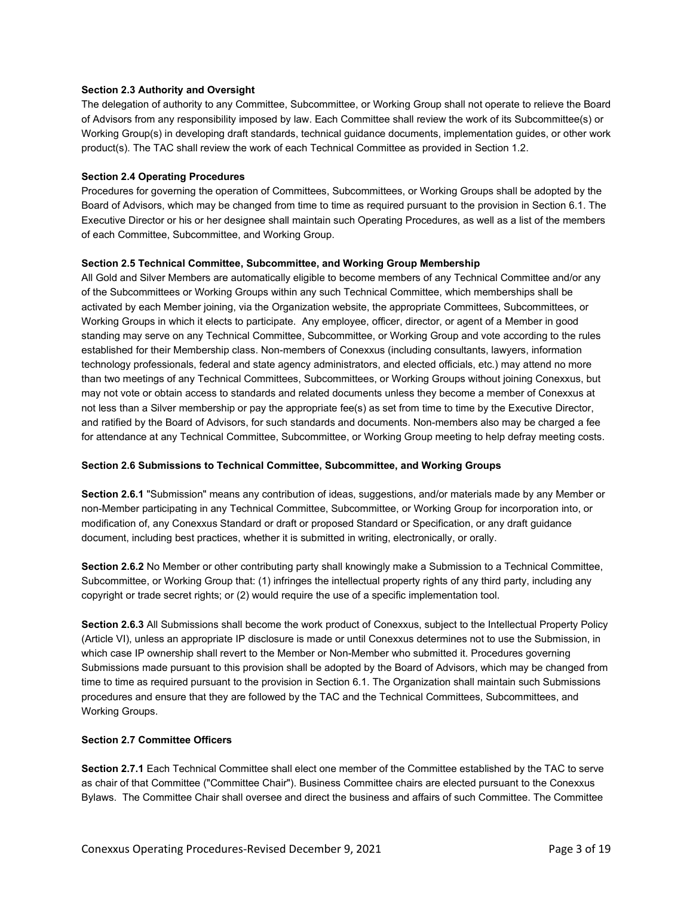## **Section 2.3 Authority and Oversight**

The delegation of authority to any Committee, Subcommittee, or Working Group shall not operate to relieve the Board of Advisors from any responsibility imposed by law. Each Committee shall review the work of its Subcommittee(s) or Working Group(s) in developing draft standards, technical guidance documents, implementation guides, or other work product(s). The TAC shall review the work of each Technical Committee as provided in Section 1.2.

## **Section 2.4 Operating Procedures**

Procedures for governing the operation of Committees, Subcommittees, or Working Groups shall be adopted by the Board of Advisors, which may be changed from time to time as required pursuant to the provision in Section 6.1. The Executive Director or his or her designee shall maintain such Operating Procedures, as well as a list of the members of each Committee, Subcommittee, and Working Group.

## **Section 2.5 Technical Committee, Subcommittee, and Working Group Membership**

All Gold and Silver Members are automatically eligible to become members of any Technical Committee and/or any of the Subcommittees or Working Groups within any such Technical Committee, which memberships shall be activated by each Member joining, via the Organization website, the appropriate Committees, Subcommittees, or Working Groups in which it elects to participate. Any employee, officer, director, or agent of a Member in good standing may serve on any Technical Committee, Subcommittee, or Working Group and vote according to the rules established for their Membership class. Non-members of Conexxus (including consultants, lawyers, information technology professionals, federal and state agency administrators, and elected officials, etc.) may attend no more than two meetings of any Technical Committees, Subcommittees, or Working Groups without joining Conexxus, but may not vote or obtain access to standards and related documents unless they become a member of Conexxus at not less than a Silver membership or pay the appropriate fee(s) as set from time to time by the Executive Director, and ratified by the Board of Advisors, for such standards and documents. Non-members also may be charged a fee for attendance at any Technical Committee, Subcommittee, or Working Group meeting to help defray meeting costs.

## **Section 2.6 Submissions to Technical Committee, Subcommittee, and Working Groups**

**Section 2.6.1** "Submission" means any contribution of ideas, suggestions, and/or materials made by any Member or non-Member participating in any Technical Committee, Subcommittee, or Working Group for incorporation into, or modification of, any Conexxus Standard or draft or proposed Standard or Specification, or any draft guidance document, including best practices, whether it is submitted in writing, electronically, or orally.

**Section 2.6.2** No Member or other contributing party shall knowingly make a Submission to a Technical Committee, Subcommittee, or Working Group that: (1) infringes the intellectual property rights of any third party, including any copyright or trade secret rights; or (2) would require the use of a specific implementation tool.

**Section 2.6.3** All Submissions shall become the work product of Conexxus, subject to the Intellectual Property Policy (Article VI), unless an appropriate IP disclosure is made or until Conexxus determines not to use the Submission, in which case IP ownership shall revert to the Member or Non-Member who submitted it. Procedures governing Submissions made pursuant to this provision shall be adopted by the Board of Advisors, which may be changed from time to time as required pursuant to the provision in Section 6.1. The Organization shall maintain such Submissions procedures and ensure that they are followed by the TAC and the Technical Committees, Subcommittees, and Working Groups.

## **Section 2.7 Committee Officers**

**Section 2.7.1** Each Technical Committee shall elect one member of the Committee established by the TAC to serve as chair of that Committee ("Committee Chair"). Business Committee chairs are elected pursuant to the Conexxus Bylaws. The Committee Chair shall oversee and direct the business and affairs of such Committee. The Committee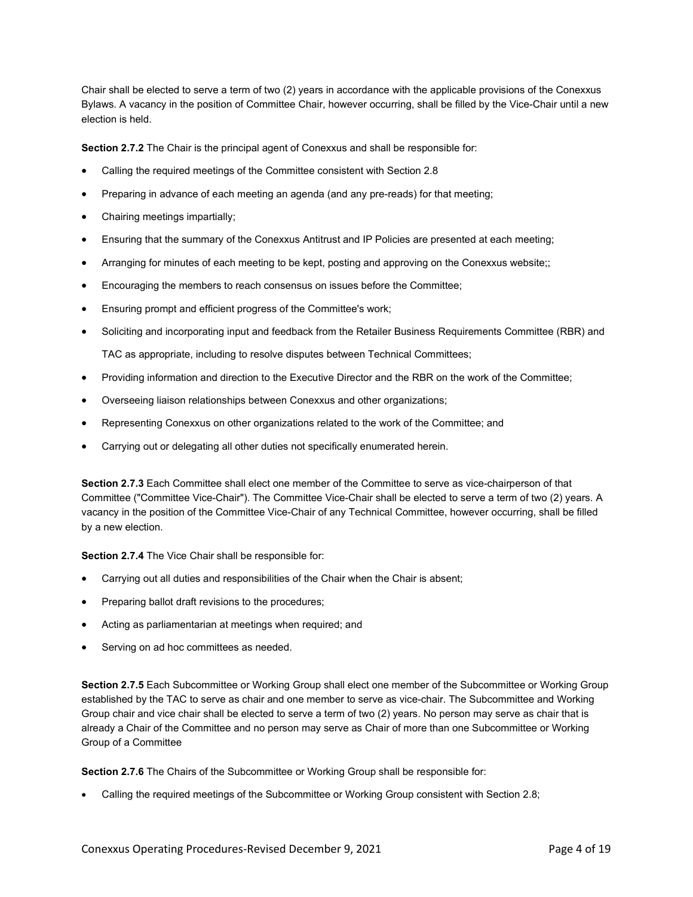Chair shall be elected to serve a term of two (2) years in accordance with the applicable provisions of the Conexxus Bylaws. A vacancy in the position of Committee Chair, however occurring, shall be filled by the Vice-Chair until a new election is held.

**Section 2.7.2** The Chair is the principal agent of Conexxus and shall be responsible for:

- Calling the required meetings of the Committee consistent with Section 2.8
- Preparing in advance of each meeting an agenda (and any pre-reads) for that meeting;
- Chairing meetings impartially;
- Ensuring that the summary of the Conexxus Antitrust and IP Policies are presented at each meeting;
- Arranging for minutes of each meeting to be kept, posting and approving on the Conexxus website;;
- Encouraging the members to reach consensus on issues before the Committee;
- Ensuring prompt and efficient progress of the Committee's work;
- Soliciting and incorporating input and feedback from the Retailer Business Requirements Committee (RBR) and

TAC as appropriate, including to resolve disputes between Technical Committees;

- Providing information and direction to the Executive Director and the RBR on the work of the Committee;
- Overseeing liaison relationships between Conexxus and other organizations;
- Representing Conexxus on other organizations related to the work of the Committee; and
- Carrying out or delegating all other duties not specifically enumerated herein.

**Section 2.7.3** Each Committee shall elect one member of the Committee to serve as vice-chairperson of that Committee ("Committee Vice-Chair"). The Committee Vice-Chair shall be elected to serve a term of two (2) years. A vacancy in the position of the Committee Vice-Chair of any Technical Committee, however occurring, shall be filled by a new election.

**Section 2.7.4** The Vice Chair shall be responsible for:

- Carrying out all duties and responsibilities of the Chair when the Chair is absent;
- Preparing ballot draft revisions to the procedures;
- Acting as parliamentarian at meetings when required; and
- Serving on ad hoc committees as needed.

**Section 2.7.5** Each Subcommittee or Working Group shall elect one member of the Subcommittee or Working Group established by the TAC to serve as chair and one member to serve as vice-chair. The Subcommittee and Working Group chair and vice chair shall be elected to serve a term of two (2) years. No person may serve as chair that is already a Chair of the Committee and no person may serve as Chair of more than one Subcommittee or Working Group of a Committee

**Section 2.7.6** The Chairs of the Subcommittee or Working Group shall be responsible for:

• Calling the required meetings of the Subcommittee or Working Group consistent with Section 2.8;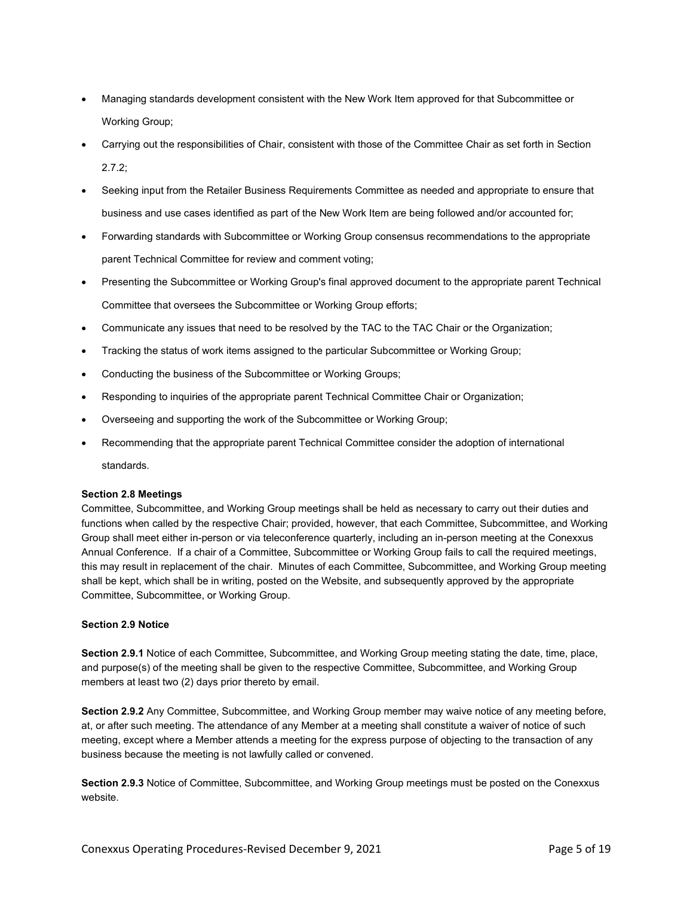- Managing standards development consistent with the New Work Item approved for that Subcommittee or Working Group;
- Carrying out the responsibilities of Chair, consistent with those of the Committee Chair as set forth in Section  $2.7.2$
- Seeking input from the Retailer Business Requirements Committee as needed and appropriate to ensure that business and use cases identified as part of the New Work Item are being followed and/or accounted for;
- Forwarding standards with Subcommittee or Working Group consensus recommendations to the appropriate parent Technical Committee for review and comment voting;
- Presenting the Subcommittee or Working Group's final approved document to the appropriate parent Technical Committee that oversees the Subcommittee or Working Group efforts;
- Communicate any issues that need to be resolved by the TAC to the TAC Chair or the Organization;
- Tracking the status of work items assigned to the particular Subcommittee or Working Group;
- Conducting the business of the Subcommittee or Working Groups;
- Responding to inquiries of the appropriate parent Technical Committee Chair or Organization;
- Overseeing and supporting the work of the Subcommittee or Working Group;
- Recommending that the appropriate parent Technical Committee consider the adoption of international

standards.

## **Section 2.8 Meetings**

Committee, Subcommittee, and Working Group meetings shall be held as necessary to carry out their duties and functions when called by the respective Chair; provided, however, that each Committee, Subcommittee, and Working Group shall meet either in-person or via teleconference quarterly, including an in-person meeting at the Conexxus Annual Conference. If a chair of a Committee, Subcommittee or Working Group fails to call the required meetings, this may result in replacement of the chair. Minutes of each Committee, Subcommittee, and Working Group meeting shall be kept, which shall be in writing, posted on the Website, and subsequently approved by the appropriate Committee, Subcommittee, or Working Group.

## **Section 2.9 Notice**

**Section 2.9.1** Notice of each Committee, Subcommittee, and Working Group meeting stating the date, time, place, and purpose(s) of the meeting shall be given to the respective Committee, Subcommittee, and Working Group members at least two (2) days prior thereto by email.

**Section 2.9.2** Any Committee, Subcommittee, and Working Group member may waive notice of any meeting before, at, or after such meeting. The attendance of any Member at a meeting shall constitute a waiver of notice of such meeting, except where a Member attends a meeting for the express purpose of objecting to the transaction of any business because the meeting is not lawfully called or convened.

**Section 2.9.3** Notice of Committee, Subcommittee, and Working Group meetings must be posted on the Conexxus website.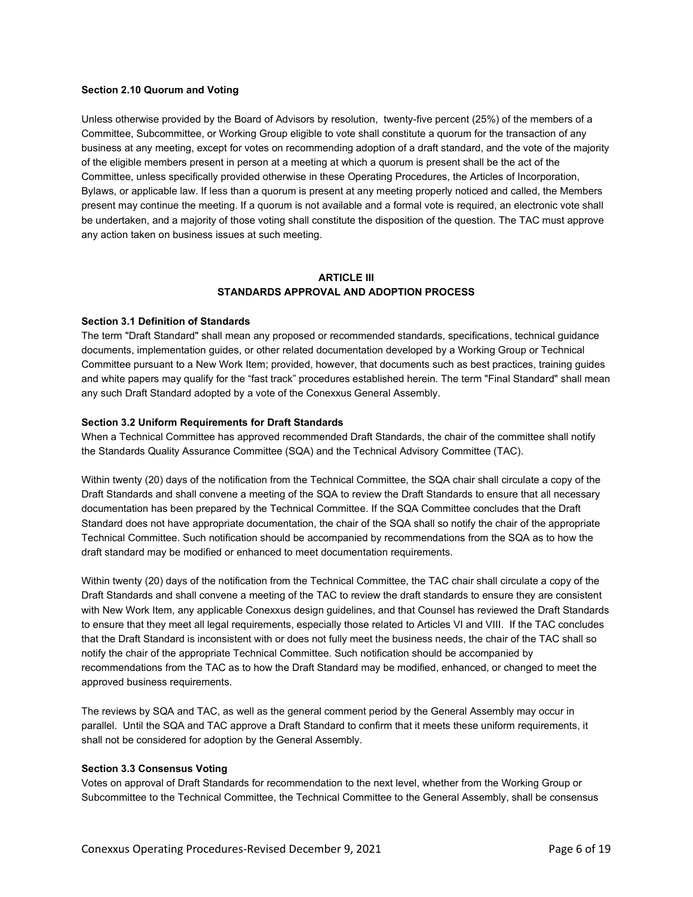#### **Section 2.10 Quorum and Voting**

Unless otherwise provided by the Board of Advisors by resolution, twenty-five percent (25%) of the members of a Committee, Subcommittee, or Working Group eligible to vote shall constitute a quorum for the transaction of any business at any meeting, except for votes on recommending adoption of a draft standard, and the vote of the majority of the eligible members present in person at a meeting at which a quorum is present shall be the act of the Committee, unless specifically provided otherwise in these Operating Procedures, the Articles of Incorporation, Bylaws, or applicable law. If less than a quorum is present at any meeting properly noticed and called, the Members present may continue the meeting. If a quorum is not available and a formal vote is required, an electronic vote shall be undertaken, and a majority of those voting shall constitute the disposition of the question. The TAC must approve any action taken on business issues at such meeting.

## **ARTICI F III STANDARDS APPROVAL AND ADOPTION PROCESS**

#### **Section 3.1 Definition of Standards**

The term "Draft Standard" shall mean any proposed or recommended standards, specifications, technical guidance documents, implementation guides, or other related documentation developed by a Working Group or Technical Committee pursuant to a New Work Item; provided, however, that documents such as best practices, training guides and white papers may qualify for the "fast track" procedures established herein. The term "Final Standard" shall mean any such Draft Standard adopted by a vote of the Conexxus General Assembly.

#### **Section 3.2 Uniform Requirements for Draft Standards**

When a Technical Committee has approved recommended Draft Standards, the chair of the committee shall notify the Standards Quality Assurance Committee (SQA) and the Technical Advisory Committee (TAC).

Within twenty (20) days of the notification from the Technical Committee, the SQA chair shall circulate a copy of the Draft Standards and shall convene a meeting of the SQA to review the Draft Standards to ensure that all necessary documentation has been prepared by the Technical Committee. If the SQA Committee concludes that the Draft Standard does not have appropriate documentation, the chair of the SQA shall so notify the chair of the appropriate Technical Committee. Such notification should be accompanied by recommendations from the SQA as to how the draft standard may be modified or enhanced to meet documentation requirements.

Within twenty (20) days of the notification from the Technical Committee, the TAC chair shall circulate a copy of the Draft Standards and shall convene a meeting of the TAC to review the draft standards to ensure they are consistent with New Work Item, any applicable Conexxus design guidelines, and that Counsel has reviewed the Draft Standards to ensure that they meet all legal requirements, especially those related to Articles VI and VIII. If the TAC concludes that the Draft Standard is inconsistent with or does not fully meet the business needs, the chair of the TAC shall so notify the chair of the appropriate Technical Committee. Such notification should be accompanied by recommendations from the TAC as to how the Draft Standard may be modified, enhanced, or changed to meet the approved business requirements.

The reviews by SQA and TAC, as well as the general comment period by the General Assembly may occur in parallel. Until the SQA and TAC approve a Draft Standard to confirm that it meets these uniform requirements, it shall not be considered for adoption by the General Assembly.

#### **Section 3.3 Consensus Voting**

Votes on approval of Draft Standards for recommendation to the next level, whether from the Working Group or Subcommittee to the Technical Committee, the Technical Committee to the General Assembly, shall be consensus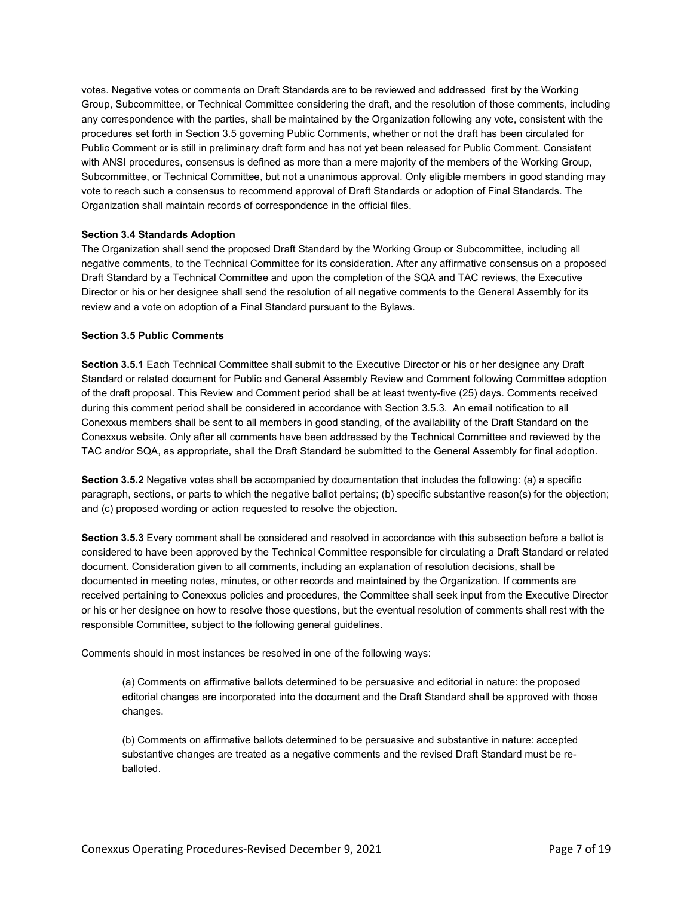votes. Negative votes or comments on Draft Standards are to be reviewed and addressed first by the Working Group, Subcommittee, or Technical Committee considering the draft, and the resolution of those comments, including any correspondence with the parties, shall be maintained by the Organization following any vote, consistent with the procedures set forth in Section 3.5 governing Public Comments, whether or not the draft has been circulated for Public Comment or is still in preliminary draft form and has not yet been released for Public Comment. Consistent with ANSI procedures, consensus is defined as more than a mere majority of the members of the Working Group, Subcommittee, or Technical Committee, but not a unanimous approval. Only eligible members in good standing may vote to reach such a consensus to recommend approval of Draft Standards or adoption of Final Standards. The Organization shall maintain records of correspondence in the official files.

## **Section 3.4 Standards Adoption**

The Organization shall send the proposed Draft Standard by the Working Group or Subcommittee, including all negative comments, to the Technical Committee for its consideration. After any affirmative consensus on a proposed Draft Standard by a Technical Committee and upon the completion of the SQA and TAC reviews, the Executive Director or his or her designee shall send the resolution of all negative comments to the General Assembly for its review and a vote on adoption of a Final Standard pursuant to the Bylaws.

## **Section 3.5 Public Comments**

**Section 3.5.1** Each Technical Committee shall submit to the Executive Director or his or her designee any Draft Standard or related document for Public and General Assembly Review and Comment following Committee adoption of the draft proposal. This Review and Comment period shall be at least twenty-five (25) days. Comments received during this comment period shall be considered in accordance with Section 3.5.3. An email notification to all Conexxus members shall be sent to all members in good standing, of the availability of the Draft Standard on the Conexxus website. Only after all comments have been addressed by the Technical Committee and reviewed by the TAC and/or SQA, as appropriate, shall the Draft Standard be submitted to the General Assembly for final adoption.

**Section 3.5.2** Negative votes shall be accompanied by documentation that includes the following: (a) a specific paragraph, sections, or parts to which the negative ballot pertains; (b) specific substantive reason(s) for the objection; and (c) proposed wording or action requested to resolve the objection.

**Section 3.5.3** Every comment shall be considered and resolved in accordance with this subsection before a ballot is considered to have been approved by the Technical Committee responsible for circulating a Draft Standard or related document. Consideration given to all comments, including an explanation of resolution decisions, shall be documented in meeting notes, minutes, or other records and maintained by the Organization. If comments are received pertaining to Conexxus policies and procedures, the Committee shall seek input from the Executive Director or his or her designee on how to resolve those questions, but the eventual resolution of comments shall rest with the responsible Committee, subject to the following general guidelines.

Comments should in most instances be resolved in one of the following ways:

(a) Comments on affirmative ballots determined to be persuasive and editorial in nature: the proposed editorial changes are incorporated into the document and the Draft Standard shall be approved with those changes.

(b) Comments on affirmative ballots determined to be persuasive and substantive in nature: accepted substantive changes are treated as a negative comments and the revised Draft Standard must be reballoted.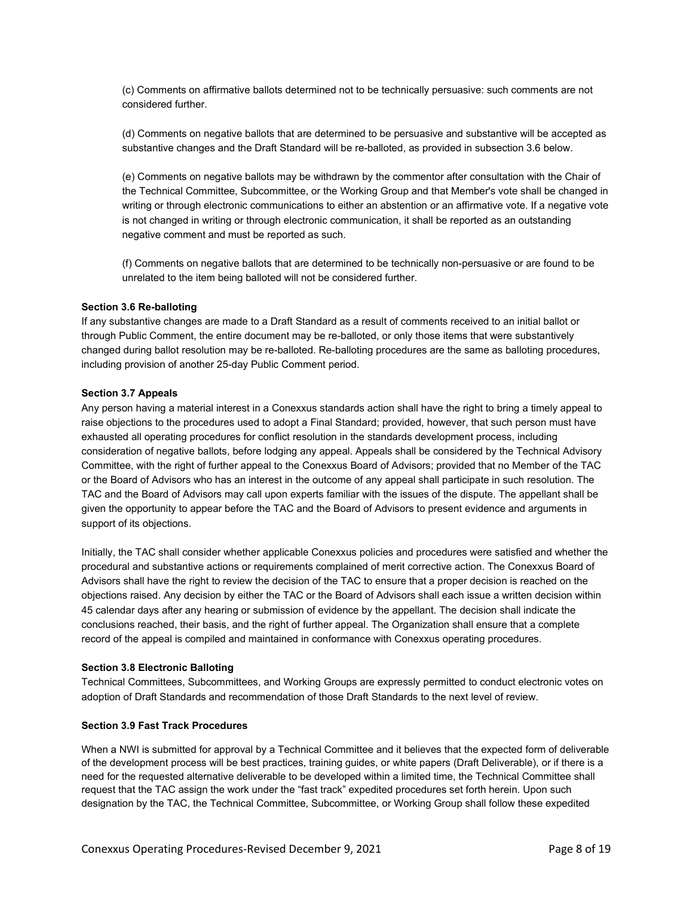(c) Comments on affirmative ballots determined not to be technically persuasive: such comments are not considered further.

(d) Comments on negative ballots that are determined to be persuasive and substantive will be accepted as substantive changes and the Draft Standard will be re-balloted, as provided in subsection 3.6 below.

(e) Comments on negative ballots may be withdrawn by the commentor after consultation with the Chair of the Technical Committee, Subcommittee, or the Working Group and that Member's vote shall be changed in writing or through electronic communications to either an abstention or an affirmative vote. If a negative vote is not changed in writing or through electronic communication, it shall be reported as an outstanding negative comment and must be reported as such.

(f) Comments on negative ballots that are determined to be technically non-persuasive or are found to be unrelated to the item being balloted will not be considered further.

#### **Section 3.6 Re-balloting**

If any substantive changes are made to a Draft Standard as a result of comments received to an initial ballot or through Public Comment, the entire document may be re-balloted, or only those items that were substantively changed during ballot resolution may be re-balloted. Re-balloting procedures are the same as balloting procedures, including provision of another 25-day Public Comment period.

#### **Section 3.7 Appeals**

Any person having a material interest in a Conexxus standards action shall have the right to bring a timely appeal to raise objections to the procedures used to adopt a Final Standard; provided, however, that such person must have exhausted all operating procedures for conflict resolution in the standards development process, including consideration of negative ballots, before lodging any appeal. Appeals shall be considered by the Technical Advisory Committee, with the right of further appeal to the Conexxus Board of Advisors; provided that no Member of the TAC or the Board of Advisors who has an interest in the outcome of any appeal shall participate in such resolution. The TAC and the Board of Advisors may call upon experts familiar with the issues of the dispute. The appellant shall be given the opportunity to appear before the TAC and the Board of Advisors to present evidence and arguments in support of its objections.

Initially, the TAC shall consider whether applicable Conexxus policies and procedures were satisfied and whether the procedural and substantive actions or requirements complained of merit corrective action. The Conexxus Board of Advisors shall have the right to review the decision of the TAC to ensure that a proper decision is reached on the objections raised. Any decision by either the TAC or the Board of Advisors shall each issue a written decision within 45 calendar days after any hearing or submission of evidence by the appellant. The decision shall indicate the conclusions reached, their basis, and the right of further appeal. The Organization shall ensure that a complete record of the appeal is compiled and maintained in conformance with Conexxus operating procedures.

#### **Section 3.8 Electronic Balloting**

Technical Committees, Subcommittees, and Working Groups are expressly permitted to conduct electronic votes on adoption of Draft Standards and recommendation of those Draft Standards to the next level of review.

#### **Section 3.9 Fast Track Procedures**

When a NWI is submitted for approval by a Technical Committee and it believes that the expected form of deliverable of the development process will be best practices, training guides, or white papers (Draft Deliverable), or if there is a need for the requested alternative deliverable to be developed within a limited time, the Technical Committee shall request that the TAC assign the work under the "fast track" expedited procedures set forth herein. Upon such designation by the TAC, the Technical Committee, Subcommittee, or Working Group shall follow these expedited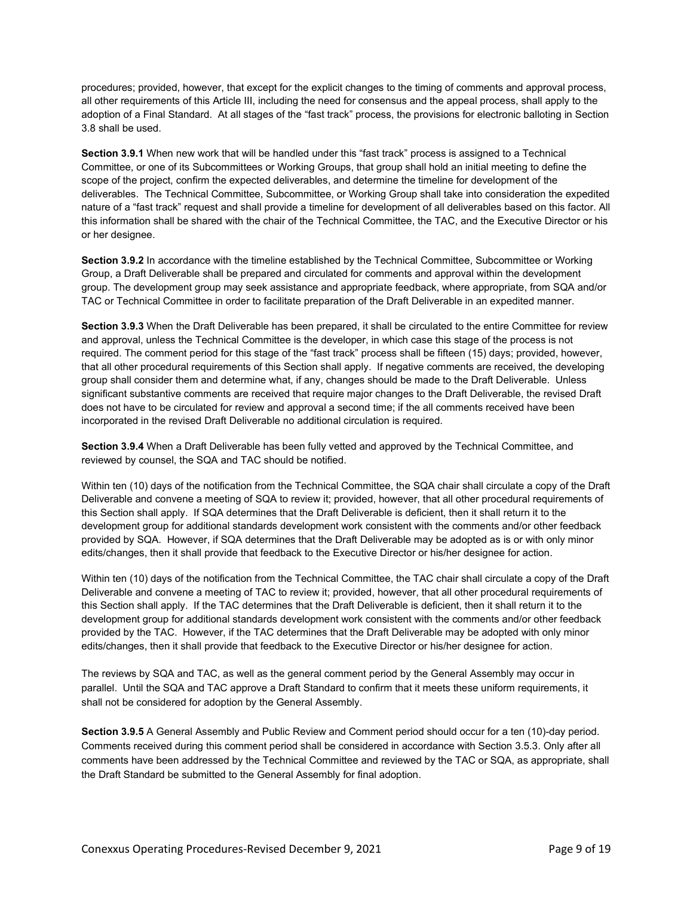procedures; provided, however, that except for the explicit changes to the timing of comments and approval process, all other requirements of this Article III, including the need for consensus and the appeal process, shall apply to the adoption of a Final Standard. At all stages of the "fast track" process, the provisions for electronic balloting in Section 3.8 shall be used.

**Section 3.9.1** When new work that will be handled under this "fast track" process is assigned to a Technical Committee, or one of its Subcommittees or Working Groups, that group shall hold an initial meeting to define the scope of the project, confirm the expected deliverables, and determine the timeline for development of the deliverables. The Technical Committee, Subcommittee, or Working Group shall take into consideration the expedited nature of a "fast track" request and shall provide a timeline for development of all deliverables based on this factor. All this information shall be shared with the chair of the Technical Committee, the TAC, and the Executive Director or his or her designee.

**Section 3.9.2** In accordance with the timeline established by the Technical Committee, Subcommittee or Working Group, a Draft Deliverable shall be prepared and circulated for comments and approval within the development group. The development group may seek assistance and appropriate feedback, where appropriate, from SQA and/or TAC or Technical Committee in order to facilitate preparation of the Draft Deliverable in an expedited manner.

**Section 3.9.3** When the Draft Deliverable has been prepared, it shall be circulated to the entire Committee for review and approval, unless the Technical Committee is the developer, in which case this stage of the process is not required. The comment period for this stage of the "fast track" process shall be fifteen (15) days; provided, however, that all other procedural requirements of this Section shall apply. If negative comments are received, the developing group shall consider them and determine what, if any, changes should be made to the Draft Deliverable. Unless significant substantive comments are received that require major changes to the Draft Deliverable, the revised Draft does not have to be circulated for review and approval a second time; if the all comments received have been incorporated in the revised Draft Deliverable no additional circulation is required.

**Section 3.9.4** When a Draft Deliverable has been fully vetted and approved by the Technical Committee, and reviewed by counsel, the SQA and TAC should be notified.

Within ten (10) days of the notification from the Technical Committee, the SQA chair shall circulate a copy of the Draft Deliverable and convene a meeting of SQA to review it; provided, however, that all other procedural requirements of this Section shall apply. If SQA determines that the Draft Deliverable is deficient, then it shall return it to the development group for additional standards development work consistent with the comments and/or other feedback provided by SQA. However, if SQA determines that the Draft Deliverable may be adopted as is or with only minor edits/changes, then it shall provide that feedback to the Executive Director or his/her designee for action.

Within ten (10) days of the notification from the Technical Committee, the TAC chair shall circulate a copy of the Draft Deliverable and convene a meeting of TAC to review it; provided, however, that all other procedural requirements of this Section shall apply. If the TAC determines that the Draft Deliverable is deficient, then it shall return it to the development group for additional standards development work consistent with the comments and/or other feedback provided by the TAC. However, if the TAC determines that the Draft Deliverable may be adopted with only minor edits/changes, then it shall provide that feedback to the Executive Director or his/her designee for action.

The reviews by SQA and TAC, as well as the general comment period by the General Assembly may occur in parallel. Until the SQA and TAC approve a Draft Standard to confirm that it meets these uniform requirements, it shall not be considered for adoption by the General Assembly.

**Section 3.9.5** A General Assembly and Public Review and Comment period should occur for a ten (10)-day period. Comments received during this comment period shall be considered in accordance with Section 3.5.3. Only after all comments have been addressed by the Technical Committee and reviewed by the TAC or SQA, as appropriate, shall the Draft Standard be submitted to the General Assembly for final adoption.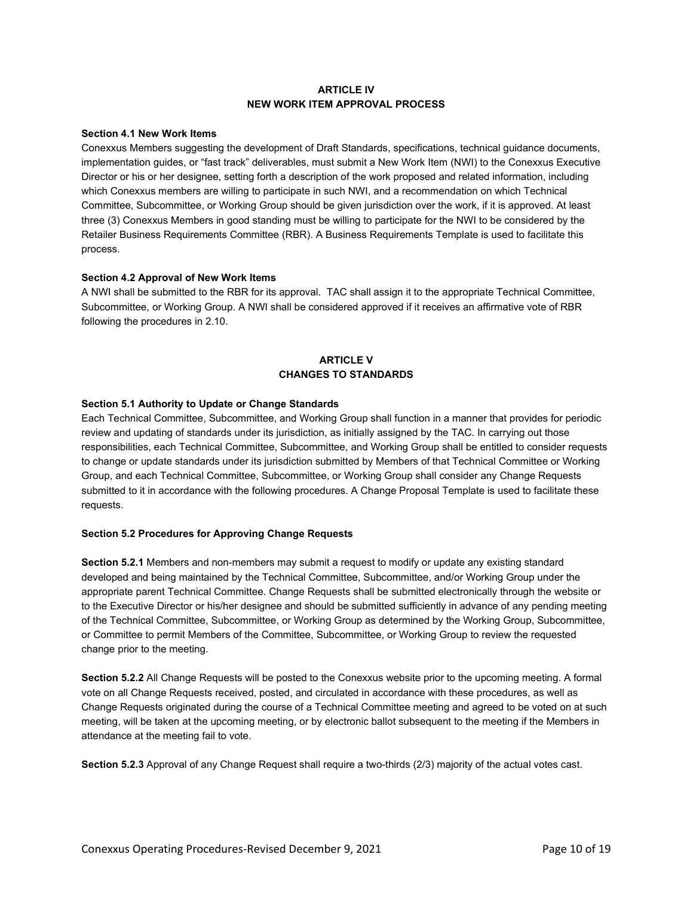## **ARTICLE IV NEW WORK ITEM APPROVAL PROCESS**

## **Section 4.1 New Work Items**

Conexxus Members suggesting the development of Draft Standards, specifications, technical guidance documents, implementation guides, or "fast track" deliverables, must submit a New Work Item (NWI) to the Conexxus Executive Director or his or her designee, setting forth a description of the work proposed and related information, including which Conexxus members are willing to participate in such NWI, and a recommendation on which Technical Committee, Subcommittee, or Working Group should be given jurisdiction over the work, if it is approved. At least three (3) Conexxus Members in good standing must be willing to participate for the NWI to be considered by the Retailer Business Requirements Committee (RBR). A Business Requirements Template is used to facilitate this process.

## **Section 4.2 Approval of New Work Items**

A NWI shall be submitted to the RBR for its approval. TAC shall assign it to the appropriate Technical Committee, Subcommittee, or Working Group. A NWI shall be considered approved if it receives an affirmative vote of RBR following the procedures in 2.10.

# **ARTICLE V CHANGES TO STANDARDS**

## **Section 5.1 Authority to Update or Change Standards**

Each Technical Committee, Subcommittee, and Working Group shall function in a manner that provides for periodic review and updating of standards under its jurisdiction, as initially assigned by the TAC. In carrying out those responsibilities, each Technical Committee, Subcommittee, and Working Group shall be entitled to consider requests to change or update standards under its jurisdiction submitted by Members of that Technical Committee or Working Group, and each Technical Committee, Subcommittee, or Working Group shall consider any Change Requests submitted to it in accordance with the following procedures. A Change Proposal Template is used to facilitate these requests.

## **Section 5.2 Procedures for Approving Change Requests**

**Section 5.2.1** Members and non-members may submit a request to modify or update any existing standard developed and being maintained by the Technical Committee, Subcommittee, and/or Working Group under the appropriate parent Technical Committee. Change Requests shall be submitted electronically through the website or to the Executive Director or his/her designee and should be submitted sufficiently in advance of any pending meeting of the Technical Committee, Subcommittee, or Working Group as determined by the Working Group, Subcommittee, or Committee to permit Members of the Committee, Subcommittee, or Working Group to review the requested change prior to the meeting.

**Section 5.2.2** All Change Requests will be posted to the Conexxus website prior to the upcoming meeting. A formal vote on all Change Requests received, posted, and circulated in accordance with these procedures, as well as Change Requests originated during the course of a Technical Committee meeting and agreed to be voted on at such meeting, will be taken at the upcoming meeting, or by electronic ballot subsequent to the meeting if the Members in attendance at the meeting fail to vote.

**Section 5.2.3** Approval of any Change Request shall require a two-thirds (2/3) majority of the actual votes cast.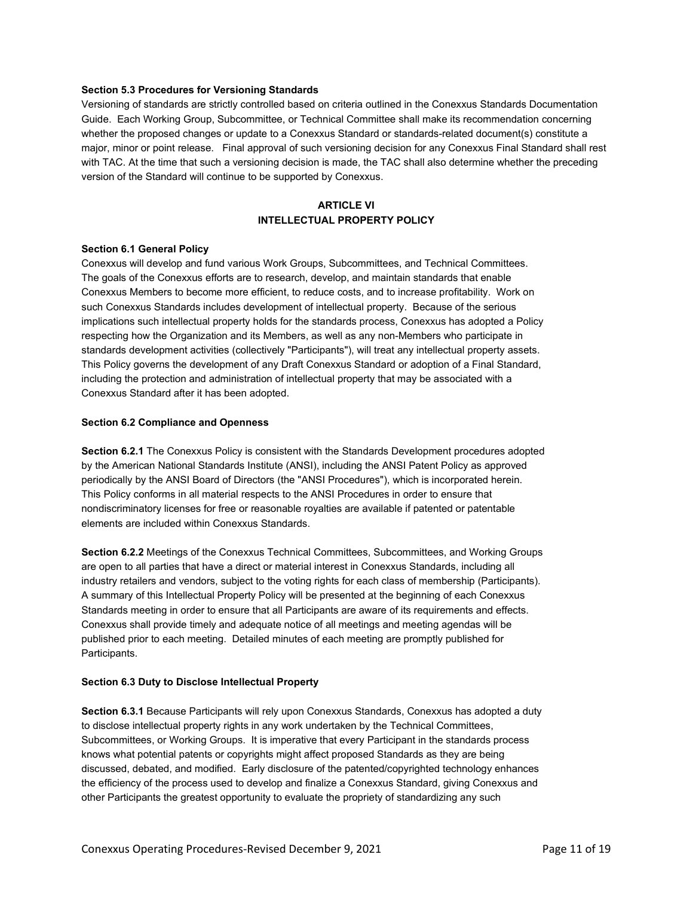#### **Section 5.3 Procedures for Versioning Standards**

Versioning of standards are strictly controlled based on criteria outlined in the Conexxus Standards Documentation Guide. Each Working Group, Subcommittee, or Technical Committee shall make its recommendation concerning whether the proposed changes or update to a Conexxus Standard or standards-related document(s) constitute a major, minor or point release. Final approval of such versioning decision for any Conexxus Final Standard shall rest with TAC. At the time that such a versioning decision is made, the TAC shall also determine whether the preceding version of the Standard will continue to be supported by Conexxus.

# **ARTICI F VI INTELLECTUAL PROPERTY POLICY**

## **Section 6.1 General Policy**

Conexxus will develop and fund various Work Groups, Subcommittees, and Technical Committees. The goals of the Conexxus efforts are to research, develop, and maintain standards that enable Conexxus Members to become more efficient, to reduce costs, and to increase profitability. Work on such Conexxus Standards includes development of intellectual property. Because of the serious implications such intellectual property holds for the standards process, Conexxus has adopted a Policy respecting how the Organization and its Members, as well as any non-Members who participate in standards development activities (collectively "Participants"), will treat any intellectual property assets. This Policy governs the development of any Draft Conexxus Standard or adoption of a Final Standard, including the protection and administration of intellectual property that may be associated with a Conexxus Standard after it has been adopted.

#### **Section 6.2 Compliance and Openness**

**Section 6.2.1** The Conexxus Policy is consistent with the Standards Development procedures adopted by the American National Standards Institute (ANSI), including the ANSI Patent Policy as approved periodically by the ANSI Board of Directors (the "ANSI Procedures"), which is incorporated herein. This Policy conforms in all material respects to the ANSI Procedures in order to ensure that nondiscriminatory licenses for free or reasonable royalties are available if patented or patentable elements are included within Conexxus Standards.

**Section 6.2.2** Meetings of the Conexxus Technical Committees, Subcommittees, and Working Groups are open to all parties that have a direct or material interest in Conexxus Standards, including all industry retailers and vendors, subject to the voting rights for each class of membership (Participants). A summary of this Intellectual Property Policy will be presented at the beginning of each Conexxus Standards meeting in order to ensure that all Participants are aware of its requirements and effects. Conexxus shall provide timely and adequate notice of all meetings and meeting agendas will be published prior to each meeting. Detailed minutes of each meeting are promptly published for Participants.

#### **Section 6.3 Duty to Disclose Intellectual Property**

**Section 6.3.1** Because Participants will rely upon Conexxus Standards, Conexxus has adopted a duty to disclose intellectual property rights in any work undertaken by the Technical Committees, Subcommittees, or Working Groups. It is imperative that every Participant in the standards process knows what potential patents or copyrights might affect proposed Standards as they are being discussed, debated, and modified. Early disclosure of the patented/copyrighted technology enhances the efficiency of the process used to develop and finalize a Conexxus Standard, giving Conexxus and other Participants the greatest opportunity to evaluate the propriety of standardizing any such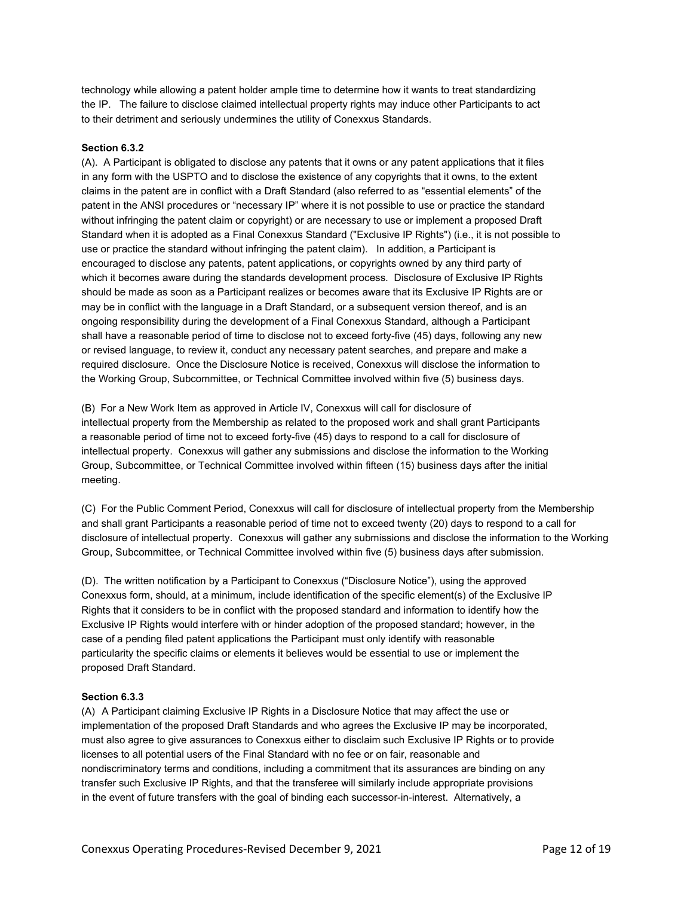technology while allowing a patent holder ample time to determine how it wants to treat standardizing the IP. The failure to disclose claimed intellectual property rights may induce other Participants to act to their detriment and seriously undermines the utility of Conexxus Standards.

#### **Section 6.3.2**

(A). A Participant is obligated to disclose any patents that it owns or any patent applications that it files in any form with the USPTO and to disclose the existence of any copyrights that it owns, to the extent claims in the patent are in conflict with a Draft Standard (also referred to as "essential elements" of the patent in the ANSI procedures or "necessary IP" where it is not possible to use or practice the standard without infringing the patent claim or copyright) or are necessary to use or implement a proposed Draft Standard when it is adopted as a Final Conexxus Standard ("Exclusive IP Rights") (i.e., it is not possible to use or practice the standard without infringing the patent claim). In addition, a Participant is encouraged to disclose any patents, patent applications, or copyrights owned by any third party of which it becomes aware during the standards development process. Disclosure of Exclusive IP Rights should be made as soon as a Participant realizes or becomes aware that its Exclusive IP Rights are or may be in conflict with the language in a Draft Standard, or a subsequent version thereof, and is an ongoing responsibility during the development of a Final Conexxus Standard, although a Participant shall have a reasonable period of time to disclose not to exceed forty-five (45) days, following any new or revised language, to review it, conduct any necessary patent searches, and prepare and make a required disclosure. Once the Disclosure Notice is received, Conexxus will disclose the information to the Working Group, Subcommittee, or Technical Committee involved within five (5) business days.

(B) For a New Work Item as approved in Article IV, Conexxus will call for disclosure of intellectual property from the Membership as related to the proposed work and shall grant Participants a reasonable period of time not to exceed forty-five (45) days to respond to a call for disclosure of intellectual property. Conexxus will gather any submissions and disclose the information to the Working Group, Subcommittee, or Technical Committee involved within fifteen (15) business days after the initial meeting.

(C) For the Public Comment Period, Conexxus will call for disclosure of intellectual property from the Membership and shall grant Participants a reasonable period of time not to exceed twenty (20) days to respond to a call for disclosure of intellectual property. Conexxus will gather any submissions and disclose the information to the Working Group, Subcommittee, or Technical Committee involved within five (5) business days after submission.

(D). The written notification by a Participant to Conexxus ("Disclosure Notice"), using the approved Conexxus form, should, at a minimum, include identification of the specific element(s) of the Exclusive IP Rights that it considers to be in conflict with the proposed standard and information to identify how the Exclusive IP Rights would interfere with or hinder adoption of the proposed standard; however, in the case of a pending filed patent applications the Participant must only identify with reasonable particularity the specific claims or elements it believes would be essential to use or implement the proposed Draft Standard.

#### **Section 6.3.3**

(A) A Participant claiming Exclusive IP Rights in a Disclosure Notice that may affect the use or implementation of the proposed Draft Standards and who agrees the Exclusive IP may be incorporated, must also agree to give assurances to Conexxus either to disclaim such Exclusive IP Rights or to provide licenses to all potential users of the Final Standard with no fee or on fair, reasonable and nondiscriminatory terms and conditions, including a commitment that its assurances are binding on any transfer such Exclusive IP Rights, and that the transferee will similarly include appropriate provisions in the event of future transfers with the goal of binding each successor-in-interest. Alternatively, a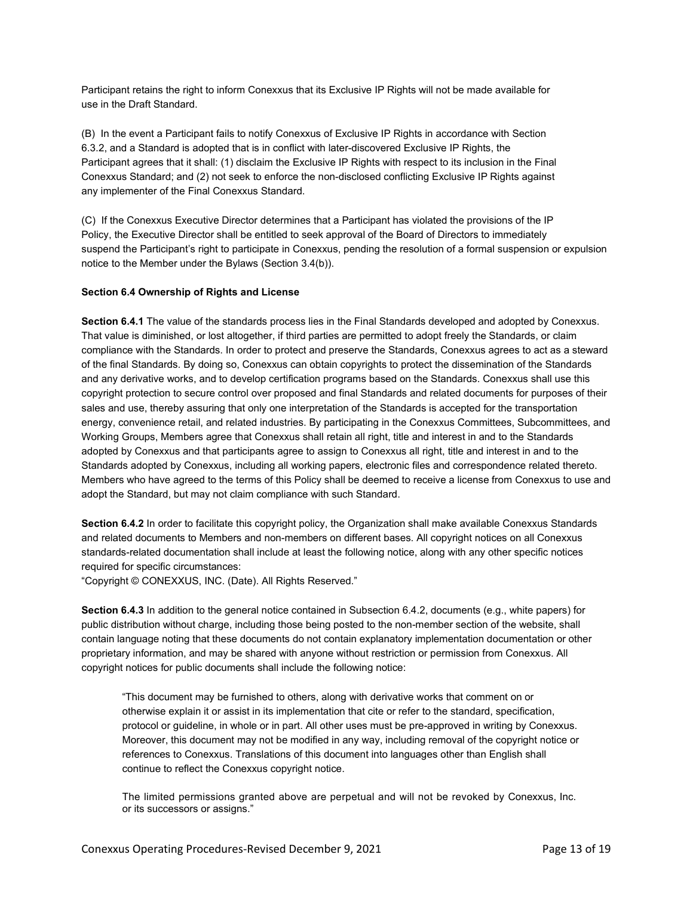Participant retains the right to inform Conexxus that its Exclusive IP Rights will not be made available for use in the Draft Standard.

(B) In the event a Participant fails to notify Conexxus of Exclusive IP Rights in accordance with Section 6.3.2, and a Standard is adopted that is in conflict with later-discovered Exclusive IP Rights, the Participant agrees that it shall: (1) disclaim the Exclusive IP Rights with respect to its inclusion in the Final Conexxus Standard; and (2) not seek to enforce the non-disclosed conflicting Exclusive IP Rights against any implementer of the Final Conexxus Standard.

(C) If the Conexxus Executive Director determines that a Participant has violated the provisions of the IP Policy, the Executive Director shall be entitled to seek approval of the Board of Directors to immediately suspend the Participant's right to participate in Conexxus, pending the resolution of a formal suspension or expulsion notice to the Member under the Bylaws (Section 3.4(b)).

#### **Section 6.4 Ownership of Rights and License**

**Section 6.4.1** The value of the standards process lies in the Final Standards developed and adopted by Conexxus. That value is diminished, or lost altogether, if third parties are permitted to adopt freely the Standards, or claim compliance with the Standards. In order to protect and preserve the Standards, Conexxus agrees to act as a steward of the final Standards. By doing so, Conexxus can obtain copyrights to protect the dissemination of the Standards and any derivative works, and to develop certification programs based on the Standards. Conexxus shall use this copyright protection to secure control over proposed and final Standards and related documents for purposes of their sales and use, thereby assuring that only one interpretation of the Standards is accepted for the transportation energy, convenience retail, and related industries. By participating in the Conexxus Committees, Subcommittees, and Working Groups, Members agree that Conexxus shall retain all right, title and interest in and to the Standards adopted by Conexxus and that participants agree to assign to Conexxus all right, title and interest in and to the Standards adopted by Conexxus, including all working papers, electronic files and correspondence related thereto. Members who have agreed to the terms of this Policy shall be deemed to receive a license from Conexxus to use and adopt the Standard, but may not claim compliance with such Standard.

**Section 6.4.2** In order to facilitate this copyright policy, the Organization shall make available Conexxus Standards and related documents to Members and non-members on different bases. All copyright notices on all Conexxus standards-related documentation shall include at least the following notice, along with any other specific notices required for specific circumstances:

"Copyright © CONEXXUS, INC. (Date). All Rights Reserved."

**Section 6.4.3** In addition to the general notice contained in Subsection 6.4.2, documents (e.g., white papers) for public distribution without charge, including those being posted to the non-member section of the website, shall contain language noting that these documents do not contain explanatory implementation documentation or other proprietary information, and may be shared with anyone without restriction or permission from Conexxus. All copyright notices for public documents shall include the following notice:

"This document may be furnished to others, along with derivative works that comment on or otherwise explain it or assist in its implementation that cite or refer to the standard, specification, protocol or guideline, in whole or in part. All other uses must be pre-approved in writing by Conexxus. Moreover, this document may not be modified in any way, including removal of the copyright notice or references to Conexxus. Translations of this document into languages other than English shall continue to reflect the Conexxus copyright notice.

The limited permissions granted above are perpetual and will not be revoked by Conexxus, Inc. or its successors or assigns."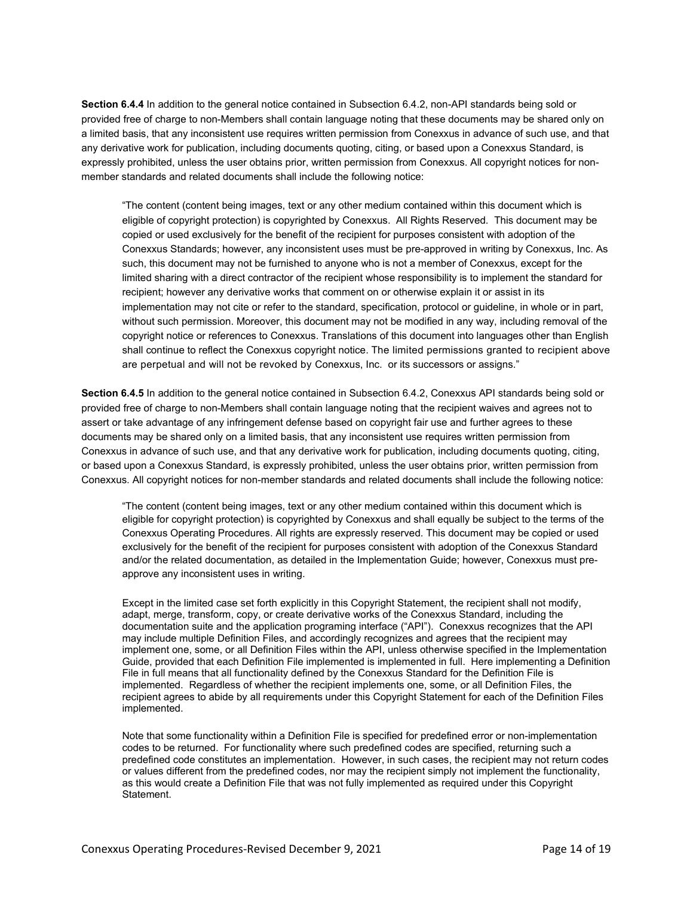**Section 6.4.4** In addition to the general notice contained in Subsection 6.4.2, non-API standards being sold or provided free of charge to non-Members shall contain language noting that these documents may be shared only on a limited basis, that any inconsistent use requires written permission from Conexxus in advance of such use, and that any derivative work for publication, including documents quoting, citing, or based upon a Conexxus Standard, is expressly prohibited, unless the user obtains prior, written permission from Conexxus. All copyright notices for nonmember standards and related documents shall include the following notice:

"The content (content being images, text or any other medium contained within this document which is eligible of copyright protection) is copyrighted by Conexxus. All Rights Reserved. This document may be copied or used exclusively for the benefit of the recipient for purposes consistent with adoption of the Conexxus Standards; however, any inconsistent uses must be pre-approved in writing by Conexxus, Inc. As such, this document may not be furnished to anyone who is not a member of Conexxus, except for the limited sharing with a direct contractor of the recipient whose responsibility is to implement the standard for recipient; however any derivative works that comment on or otherwise explain it or assist in its implementation may not cite or refer to the standard, specification, protocol or guideline, in whole or in part, without such permission. Moreover, this document may not be modified in any way, including removal of the copyright notice or references to Conexxus. Translations of this document into languages other than English shall continue to reflect the Conexxus copyright notice. The limited permissions granted to recipient above are perpetual and will not be revoked by Conexxus, Inc. or its successors or assigns."

**Section 6.4.5** In addition to the general notice contained in Subsection 6.4.2, Conexxus API standards being sold or provided free of charge to non-Members shall contain language noting that the recipient waives and agrees not to assert or take advantage of any infringement defense based on copyright fair use and further agrees to these documents may be shared only on a limited basis, that any inconsistent use requires written permission from Conexxus in advance of such use, and that any derivative work for publication, including documents quoting, citing, or based upon a Conexxus Standard, is expressly prohibited, unless the user obtains prior, written permission from Conexxus. All copyright notices for non-member standards and related documents shall include the following notice:

"The content (content being images, text or any other medium contained within this document which is eligible for copyright protection) is copyrighted by Conexxus and shall equally be subject to the terms of the Conexxus Operating Procedures. All rights are expressly reserved. This document may be copied or used exclusively for the benefit of the recipient for purposes consistent with adoption of the Conexxus Standard and/or the related documentation, as detailed in the Implementation Guide; however, Conexxus must preapprove any inconsistent uses in writing.

Except in the limited case set forth explicitly in this Copyright Statement, the recipient shall not modify, adapt, merge, transform, copy, or create derivative works of the Conexxus Standard, including the documentation suite and the application programing interface ("API"). Conexxus recognizes that the API may include multiple Definition Files, and accordingly recognizes and agrees that the recipient may implement one, some, or all Definition Files within the API, unless otherwise specified in the Implementation Guide, provided that each Definition File implemented is implemented in full. Here implementing a Definition File in full means that all functionality defined by the Conexxus Standard for the Definition File is implemented. Regardless of whether the recipient implements one, some, or all Definition Files, the recipient agrees to abide by all requirements under this Copyright Statement for each of the Definition Files implemented.

Note that some functionality within a Definition File is specified for predefined error or non-implementation codes to be returned. For functionality where such predefined codes are specified, returning such a predefined code constitutes an implementation. However, in such cases, the recipient may not return codes or values different from the predefined codes, nor may the recipient simply not implement the functionality, as this would create a Definition File that was not fully implemented as required under this Copyright Statement.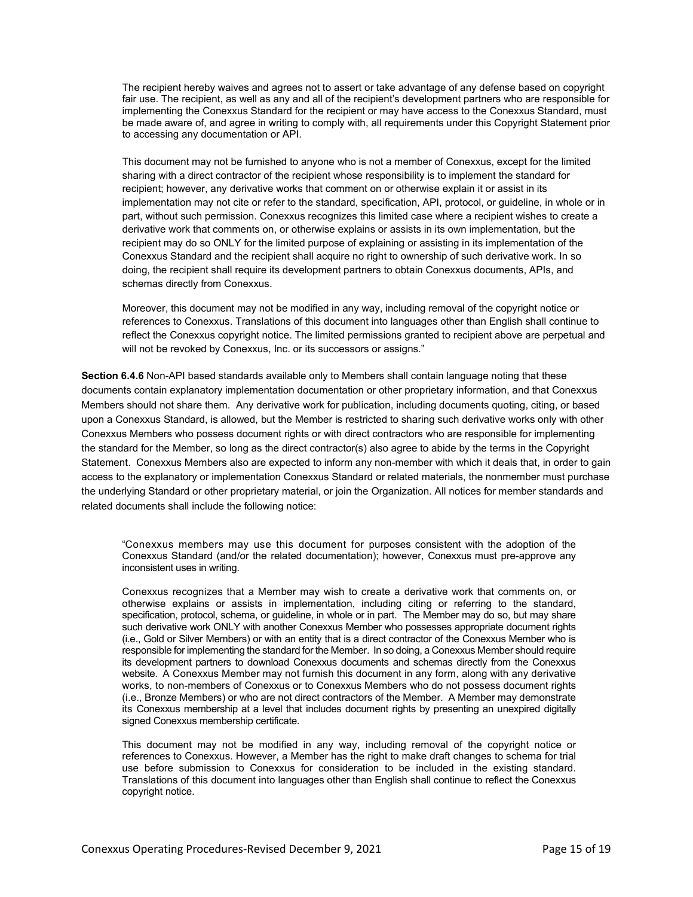The recipient hereby waives and agrees not to assert or take advantage of any defense based on copyright fair use. The recipient, as well as any and all of the recipient's development partners who are responsible for implementing the Conexxus Standard for the recipient or may have access to the Conexxus Standard, must be made aware of, and agree in writing to comply with, all requirements under this Copyright Statement prior to accessing any documentation or API.

This document may not be furnished to anyone who is not a member of Conexxus, except for the limited sharing with a direct contractor of the recipient whose responsibility is to implement the standard for recipient; however, any derivative works that comment on or otherwise explain it or assist in its implementation may not cite or refer to the standard, specification, API, protocol, or guideline, in whole or in part, without such permission. Conexxus recognizes this limited case where a recipient wishes to create a derivative work that comments on, or otherwise explains or assists in its own implementation, but the recipient may do so ONLY for the limited purpose of explaining or assisting in its implementation of the Conexxus Standard and the recipient shall acquire no right to ownership of such derivative work. In so doing, the recipient shall require its development partners to obtain Conexxus documents, APIs, and schemas directly from Conexxus.

Moreover, this document may not be modified in any way, including removal of the copyright notice or references to Conexxus. Translations of this document into languages other than English shall continue to reflect the Conexxus copyright notice. The limited permissions granted to recipient above are perpetual and will not be revoked by Conexxus, Inc. or its successors or assigns."

**Section 6.4.6** Non-API based standards available only to Members shall contain language noting that these documents contain explanatory implementation documentation or other proprietary information, and that Conexxus Members should not share them. Any derivative work for publication, including documents quoting, citing, or based upon a Conexxus Standard, is allowed, but the Member is restricted to sharing such derivative works only with other Conexxus Members who possess document rights or with direct contractors who are responsible for implementing the standard for the Member, so long as the direct contractor(s) also agree to abide by the terms in the Copyright Statement. Conexxus Members also are expected to inform any non-member with which it deals that, in order to gain access to the explanatory or implementation Conexxus Standard or related materials, the nonmember must purchase the underlying Standard or other proprietary material, or join the Organization. All notices for member standards and related documents shall include the following notice:

"Conexxus members may use this document for purposes consistent with the adoption of the Conexxus Standard (and/or the related documentation); however, Conexxus must pre-approve any inconsistent uses in writing.

Conexxus recognizes that a Member may wish to create a derivative work that comments on, or otherwise explains or assists in implementation, including citing or referring to the standard, specification, protocol, schema, or guideline, in whole or in part. The Member may do so, but may share such derivative work ONLY with another Conexxus Member who possesses appropriate document rights (i.e., Gold or Silver Members) or with an entity that is a direct contractor of the Conexxus Member who is responsible for implementing the standard for the Member. In so doing, a Conexxus Member should require its development partners to download Conexxus documents and schemas directly from the Conexxus website. A Conexxus Member may not furnish this document in any form, along with any derivative works, to non-members of Conexxus or to Conexxus Members who do not possess document rights (i.e., Bronze Members) or who are not direct contractors of the Member. A Member may demonstrate its Conexxus membership at a level that includes document rights by presenting an unexpired digitally signed Conexxus membership certificate.

This document may not be modified in any way, including removal of the copyright notice or references to Conexxus. However, a Member has the right to make draft changes to schema for trial use before submission to Conexxus for consideration to be included in the existing standard. Translations of this document into languages other than English shall continue to reflect the Conexxus copyright notice.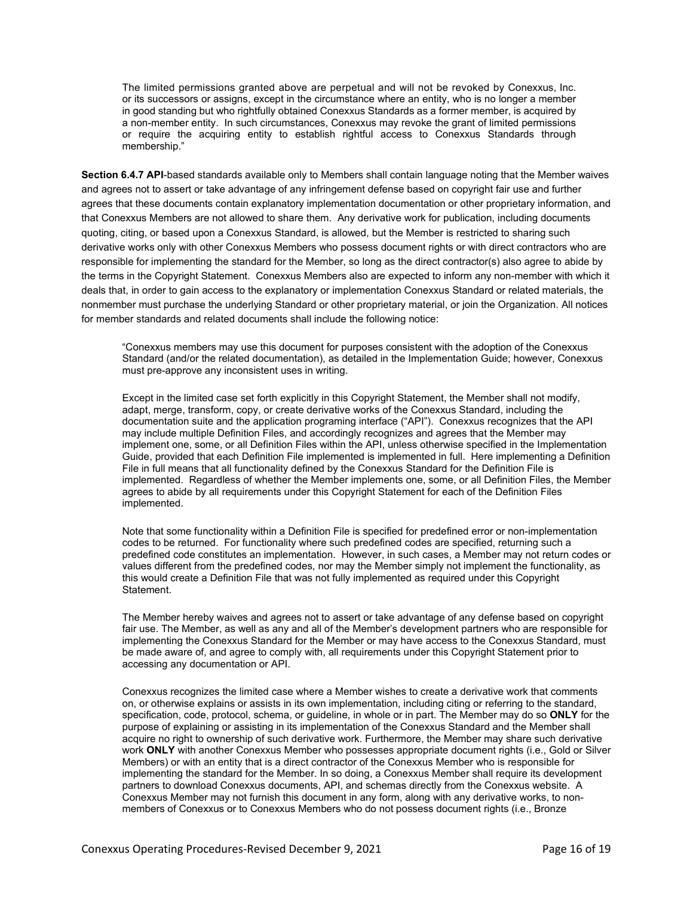The limited permissions granted above are perpetual and will not be revoked by Conexxus, Inc. or its successors or assigns, except in the circumstance where an entity, who is no longer a member in good standing but who rightfully obtained Conexxus Standards as a former member, is acquired by a non-member entity. In such circumstances, Conexxus may revoke the grant of limited permissions or require the acquiring entity to establish rightful access to Conexxus Standards through membership."

**Section 6.4.7 API**-based standards available only to Members shall contain language noting that the Member waives and agrees not to assert or take advantage of any infringement defense based on copyright fair use and further agrees that these documents contain explanatory implementation documentation or other proprietary information, and that Conexxus Members are not allowed to share them. Any derivative work for publication, including documents quoting, citing, or based upon a Conexxus Standard, is allowed, but the Member is restricted to sharing such derivative works only with other Conexxus Members who possess document rights or with direct contractors who are responsible for implementing the standard for the Member, so long as the direct contractor(s) also agree to abide by the terms in the Copyright Statement. Conexxus Members also are expected to inform any non-member with which it deals that, in order to gain access to the explanatory or implementation Conexxus Standard or related materials, the nonmember must purchase the underlying Standard or other proprietary material, or join the Organization. All notices for member standards and related documents shall include the following notice:

"Conexxus members may use this document for purposes consistent with the adoption of the Conexxus Standard (and/or the related documentation), as detailed in the Implementation Guide; however, Conexxus must pre-approve any inconsistent uses in writing.

Except in the limited case set forth explicitly in this Copyright Statement, the Member shall not modify, adapt, merge, transform, copy, or create derivative works of the Conexxus Standard, including the documentation suite and the application programing interface ("API"). Conexxus recognizes that the API may include multiple Definition Files, and accordingly recognizes and agrees that the Member may implement one, some, or all Definition Files within the API, unless otherwise specified in the Implementation Guide, provided that each Definition File implemented is implemented in full. Here implementing a Definition File in full means that all functionality defined by the Conexxus Standard for the Definition File is implemented. Regardless of whether the Member implements one, some, or all Definition Files, the Member agrees to abide by all requirements under this Copyright Statement for each of the Definition Files implemented.

Note that some functionality within a Definition File is specified for predefined error or non-implementation codes to be returned. For functionality where such predefined codes are specified, returning such a predefined code constitutes an implementation. However, in such cases, a Member may not return codes or values different from the predefined codes, nor may the Member simply not implement the functionality, as this would create a Definition File that was not fully implemented as required under this Copyright Statement.

The Member hereby waives and agrees not to assert or take advantage of any defense based on copyright fair use. The Member, as well as any and all of the Member's development partners who are responsible for implementing the Conexxus Standard for the Member or may have access to the Conexxus Standard, must be made aware of, and agree to comply with, all requirements under this Copyright Statement prior to accessing any documentation or API.

Conexxus recognizes the limited case where a Member wishes to create a derivative work that comments on, or otherwise explains or assists in its own implementation, including citing or referring to the standard, specification, code, protocol, schema, or guideline, in whole or in part. The Member may do so **ONLY** for the purpose of explaining or assisting in its implementation of the Conexxus Standard and the Member shall acquire no right to ownership of such derivative work. Furthermore, the Member may share such derivative work **ONLY** with another Conexxus Member who possesses appropriate document rights (i.e., Gold or Silver Members) or with an entity that is a direct contractor of the Conexxus Member who is responsible for implementing the standard for the Member. In so doing, a Conexxus Member shall require its development partners to download Conexxus documents, API, and schemas directly from the Conexxus website. A Conexxus Member may not furnish this document in any form, along with any derivative works, to nonmembers of Conexxus or to Conexxus Members who do not possess document rights (i.e., Bronze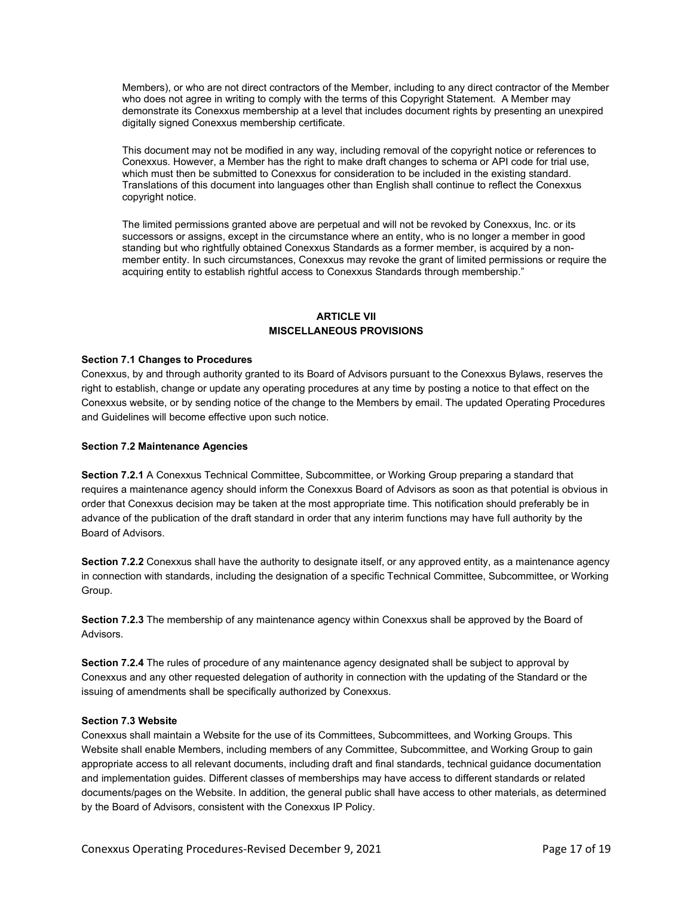Members), or who are not direct contractors of the Member, including to any direct contractor of the Member who does not agree in writing to comply with the terms of this Copyright Statement. A Member may demonstrate its Conexxus membership at a level that includes document rights by presenting an unexpired digitally signed Conexxus membership certificate.

This document may not be modified in any way, including removal of the copyright notice or references to Conexxus. However, a Member has the right to make draft changes to schema or API code for trial use, which must then be submitted to Conexxus for consideration to be included in the existing standard. Translations of this document into languages other than English shall continue to reflect the Conexxus copyright notice.

The limited permissions granted above are perpetual and will not be revoked by Conexxus, Inc. or its successors or assigns, except in the circumstance where an entity, who is no longer a member in good standing but who rightfully obtained Conexxus Standards as a former member, is acquired by a nonmember entity. In such circumstances, Conexxus may revoke the grant of limited permissions or require the acquiring entity to establish rightful access to Conexxus Standards through membership."

# **ARTICLE VII MISCELLANEOUS PROVISIONS**

## **Section 7.1 Changes to Procedures**

Conexxus, by and through authority granted to its Board of Advisors pursuant to the Conexxus Bylaws, reserves the right to establish, change or update any operating procedures at any time by posting a notice to that effect on the Conexxus website, or by sending notice of the change to the Members by email. The updated Operating Procedures and Guidelines will become effective upon such notice.

## **Section 7.2 Maintenance Agencies**

**Section 7.2.1** A Conexxus Technical Committee, Subcommittee, or Working Group preparing a standard that requires a maintenance agency should inform the Conexxus Board of Advisors as soon as that potential is obvious in order that Conexxus decision may be taken at the most appropriate time. This notification should preferably be in advance of the publication of the draft standard in order that any interim functions may have full authority by the Board of Advisors.

**Section 7.2.2** Conexxus shall have the authority to designate itself, or any approved entity, as a maintenance agency in connection with standards, including the designation of a specific Technical Committee, Subcommittee, or Working Group.

**Section 7.2.3** The membership of any maintenance agency within Conexxus shall be approved by the Board of Advisors.

**Section 7.2.4** The rules of procedure of any maintenance agency designated shall be subject to approval by Conexxus and any other requested delegation of authority in connection with the updating of the Standard or the issuing of amendments shall be specifically authorized by Conexxus.

## **Section 7.3 Website**

Conexxus shall maintain a Website for the use of its Committees, Subcommittees, and Working Groups. This Website shall enable Members, including members of any Committee, Subcommittee, and Working Group to gain appropriate access to all relevant documents, including draft and final standards, technical guidance documentation and implementation guides. Different classes of memberships may have access to different standards or related documents/pages on the Website. In addition, the general public shall have access to other materials, as determined by the Board of Advisors, consistent with the Conexxus IP Policy.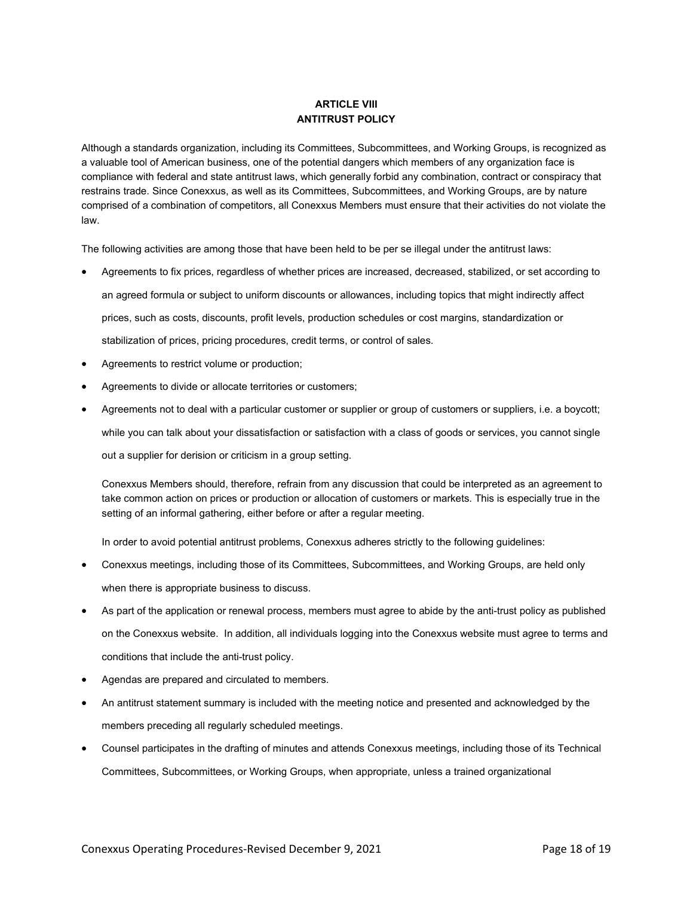# **ARTICLE VIII ANTITRUST POLICY**

Although a standards organization, including its Committees, Subcommittees, and Working Groups, is recognized as a valuable tool of American business, one of the potential dangers which members of any organization face is compliance with federal and state antitrust laws, which generally forbid any combination, contract or conspiracy that restrains trade. Since Conexxus, as well as its Committees, Subcommittees, and Working Groups, are by nature comprised of a combination of competitors, all Conexxus Members must ensure that their activities do not violate the law.

The following activities are among those that have been held to be per se illegal under the antitrust laws:

- Agreements to fix prices, regardless of whether prices are increased, decreased, stabilized, or set according to an agreed formula or subject to uniform discounts or allowances, including topics that might indirectly affect prices, such as costs, discounts, profit levels, production schedules or cost margins, standardization or stabilization of prices, pricing procedures, credit terms, or control of sales.
- Agreements to restrict volume or production;
- Agreements to divide or allocate territories or customers;
- Agreements not to deal with a particular customer or supplier or group of customers or suppliers, i.e. a boycott; while you can talk about your dissatisfaction or satisfaction with a class of goods or services, you cannot single out a supplier for derision or criticism in a group setting.

Conexxus Members should, therefore, refrain from any discussion that could be interpreted as an agreement to take common action on prices or production or allocation of customers or markets. This is especially true in the setting of an informal gathering, either before or after a regular meeting.

In order to avoid potential antitrust problems, Conexxus adheres strictly to the following guidelines:

- Conexxus meetings, including those of its Committees, Subcommittees, and Working Groups, are held only when there is appropriate business to discuss.
- As part of the application or renewal process, members must agree to abide by the anti-trust policy as published on the Conexxus website. In addition, all individuals logging into the Conexxus website must agree to terms and conditions that include the anti-trust policy.
- Agendas are prepared and circulated to members.
- An antitrust statement summary is included with the meeting notice and presented and acknowledged by the members preceding all regularly scheduled meetings.
- Counsel participates in the drafting of minutes and attends Conexxus meetings, including those of its Technical Committees, Subcommittees, or Working Groups, when appropriate, unless a trained organizational